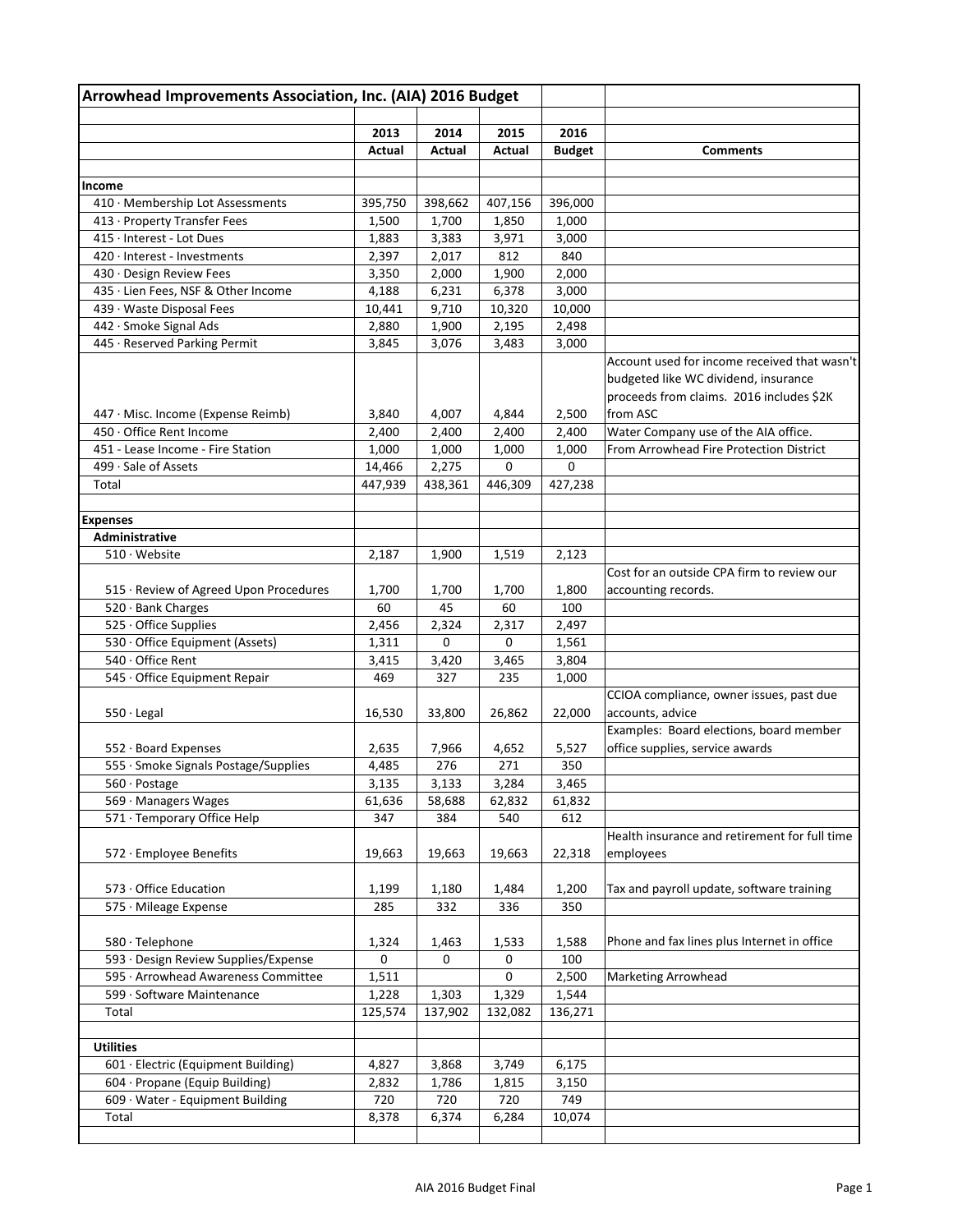|                                        | Arrowhead Improvements Association, Inc. (AIA) 2016 Budget |         |             |               |                                                                                                                                              |
|----------------------------------------|------------------------------------------------------------|---------|-------------|---------------|----------------------------------------------------------------------------------------------------------------------------------------------|
|                                        | 2013                                                       | 2014    | 2015        | 2016          |                                                                                                                                              |
|                                        | Actual                                                     | Actual  | Actual      | <b>Budget</b> | <b>Comments</b>                                                                                                                              |
|                                        |                                                            |         |             |               |                                                                                                                                              |
| Income                                 |                                                            |         |             |               |                                                                                                                                              |
| 410 · Membership Lot Assessments       | 395,750                                                    | 398,662 | 407,156     | 396,000       |                                                                                                                                              |
| 413 · Property Transfer Fees           | 1,500                                                      | 1,700   | 1,850       | 1,000         |                                                                                                                                              |
| 415 · Interest - Lot Dues              | 1,883                                                      | 3,383   | 3,971       | 3,000         |                                                                                                                                              |
| 420 · Interest - Investments           | 2,397                                                      | 2,017   | 812         | 840           |                                                                                                                                              |
| 430 · Design Review Fees               | 3,350                                                      | 2,000   | 1,900       | 2,000         |                                                                                                                                              |
| 435 · Lien Fees, NSF & Other Income    | 4,188                                                      | 6,231   | 6,378       | 3,000         |                                                                                                                                              |
| 439 · Waste Disposal Fees              | 10,441                                                     | 9,710   | 10,320      | 10,000        |                                                                                                                                              |
| 442 · Smoke Signal Ads                 | 2,880                                                      | 1,900   | 2,195       | 2,498         |                                                                                                                                              |
| 445 · Reserved Parking Permit          | 3,845                                                      | 3,076   | 3,483       | 3,000         |                                                                                                                                              |
| 447 · Misc. Income (Expense Reimb)     | 3,840                                                      | 4,007   | 4,844       | 2,500         | Account used for income received that wasn't<br>budgeted like WC dividend, insurance<br>proceeds from claims. 2016 includes \$2K<br>from ASC |
| 450 · Office Rent Income               | 2,400                                                      | 2,400   | 2,400       | 2,400         | Water Company use of the AIA office.                                                                                                         |
| 451 - Lease Income - Fire Station      | 1,000                                                      | 1,000   | 1,000       | 1,000         | From Arrowhead Fire Protection District                                                                                                      |
| 499 · Sale of Assets                   | 14,466                                                     | 2,275   | $\mathbf 0$ | 0             |                                                                                                                                              |
| Total                                  | 447,939                                                    | 438,361 | 446,309     | 427,238       |                                                                                                                                              |
|                                        |                                                            |         |             |               |                                                                                                                                              |
| <b>Expenses</b>                        |                                                            |         |             |               |                                                                                                                                              |
| Administrative                         |                                                            |         |             |               |                                                                                                                                              |
| 510 · Website                          | 2,187                                                      | 1,900   | 1,519       | 2,123         |                                                                                                                                              |
|                                        |                                                            |         |             |               | Cost for an outside CPA firm to review our                                                                                                   |
| 515 · Review of Agreed Upon Procedures | 1,700                                                      | 1,700   | 1,700       | 1,800         | accounting records.                                                                                                                          |
| 520 · Bank Charges                     | 60                                                         | 45      | 60          | 100           |                                                                                                                                              |
| 525 · Office Supplies                  | 2,456                                                      | 2,324   | 2,317       | 2,497         |                                                                                                                                              |
| 530 · Office Equipment (Assets)        | 1,311                                                      | 0       | $\mathbf 0$ | 1,561         |                                                                                                                                              |
| 540 · Office Rent                      | 3,415                                                      | 3,420   | 3,465       | 3,804         |                                                                                                                                              |
| 545 · Office Equipment Repair          | 469                                                        | 327     | 235         | 1,000         |                                                                                                                                              |
|                                        |                                                            |         |             |               | CCIOA compliance, owner issues, past due                                                                                                     |
| $550 \cdot$ Legal                      | 16,530                                                     | 33,800  | 26,862      | 22,000        | accounts, advice                                                                                                                             |
|                                        |                                                            |         |             |               | Examples: Board elections, board member                                                                                                      |
| $552 \cdot$ Board Expenses             | 2,635                                                      | 7,966   | 4,652       | 5,527         | office supplies, service awards                                                                                                              |
| 555 · Smoke Signals Postage/Supplies   | 4,485                                                      | 276     | 271         | 350           |                                                                                                                                              |
| 560 · Postage                          | 3,135                                                      | 3,133   | 3,284       | 3,465         |                                                                                                                                              |
| 569 · Managers Wages                   | 61,636                                                     | 58,688  | 62,832      | 61,832        |                                                                                                                                              |
| 571 · Temporary Office Help            | 347                                                        | 384     | 540         | 612           |                                                                                                                                              |
|                                        |                                                            |         |             |               | Health insurance and retirement for full time                                                                                                |
| 572 · Employee Benefits                | 19,663                                                     | 19,663  | 19,663      | 22,318        | employees                                                                                                                                    |
|                                        |                                                            |         |             |               |                                                                                                                                              |
| 573 · Office Education                 | 1,199                                                      | 1,180   | 1,484       | 1,200         | Tax and payroll update, software training                                                                                                    |
| 575 · Mileage Expense                  | 285                                                        | 332     | 336         | 350           |                                                                                                                                              |
|                                        |                                                            |         |             |               |                                                                                                                                              |
| 580 · Telephone                        | 1,324                                                      | 1,463   | 1,533       | 1,588         | Phone and fax lines plus Internet in office                                                                                                  |
| 593 · Design Review Supplies/Expense   | 0                                                          | 0       | 0           | 100           |                                                                                                                                              |
| 595 · Arrowhead Awareness Committee    | 1,511                                                      |         | 0           | 2,500         | <b>Marketing Arrowhead</b>                                                                                                                   |
| 599 · Software Maintenance             | 1,228                                                      | 1,303   | 1,329       | 1,544         |                                                                                                                                              |
| Total                                  | 125,574                                                    | 137,902 | 132,082     | 136,271       |                                                                                                                                              |
|                                        |                                                            |         |             |               |                                                                                                                                              |
| <b>Utilities</b>                       |                                                            |         |             |               |                                                                                                                                              |
| 601 · Electric (Equipment Building)    | 4,827                                                      | 3,868   | 3,749       | 6,175         |                                                                                                                                              |
| 604 · Propane (Equip Building)         | 2,832                                                      | 1,786   | 1,815       | 3,150         |                                                                                                                                              |
| 609 · Water - Equipment Building       | 720                                                        | 720     | 720         | 749           |                                                                                                                                              |
|                                        |                                                            |         |             |               |                                                                                                                                              |